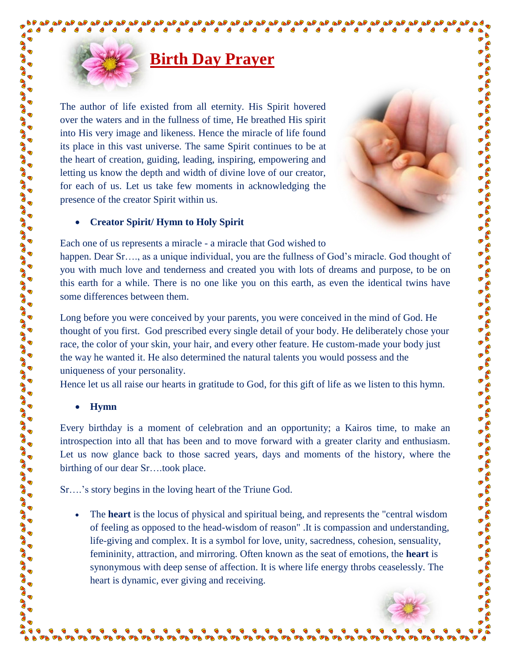## **Birth Day Prayer**

The author of life existed from all eternity. His Spirit hovered over the waters and in the fullness of time, He breathed His spirit into His very image and likeness. Hence the miracle of life found its place in this vast universe. The same Spirit continues to be at the heart of creation, guiding, leading, inspiring, empowering and letting us know the depth and width of divine love of our creator, for each of us. Let us take few moments in acknowledging the presence of the creator Spirit within us.



**Para** 

**PD PD** 

a de la de de la de de la de de la de de la de de la de la de la de la de la de la de la de la de la de la de<br>La de la de la de la de la de la de la de la de la de la de la de la de la de la de la de la de la de la de la

S

## **Creator Spirit/ Hymn to Holy Spirit**

Each one of us represents a miracle - a miracle that God wished to

happen. Dear Sr...., as a unique individual, you are the fullness of God's miracle. God thought of you with much love and tenderness and created you with lots of dreams and purpose, to be on this earth for a while. There is no one like you on this earth, as even the identical twins have some differences between them.

Long before you were conceived by your parents, you were conceived in the mind of God. He thought of you first. God prescribed every single detail of your body. He deliberately chose your race, the color of your skin, your hair, and every other feature. He custom-made your body just the way he wanted it. He also determined the natural talents you would possess and the uniqueness of your personality.

Hence let us all raise our hearts in gratitude to God, for this gift of life as we listen to this hymn.

## **Hymn**

S **BO** B C Co B **PAD**  $\frac{1}{2}$ 

 $\frac{1}{2}$  $\frac{1}{2}$ **BO** 

Co **BOO PAS** 

**PO**  $\frac{1}{2}$ **BOO BOO BAD**  $\frac{1}{2}$ **PAS PAS**  $\frac{6}{9}$  $\frac{1}{2}$  $\frac{1}{2}$ **CONO BO PAD BOO PAD BO**  $\frac{6}{9}$  $\frac{1}{2}$ **BO**  $\frac{1}{2}$ **BO** B B **BO** Co B C Go

G

 $\bullet$  $\bullet$  $\bullet$  $\bullet$  $\bullet$ 

Every birthday is a moment of celebration and an opportunity; a Kairos time, to make an introspection into all that has been and to move forward with a greater clarity and enthusiasm. Let us now glance back to those sacred years, days and moments of the history, where the birthing of our dear Sr….took place.

Sr….'s story begins in the loving heart of the Triune God.

 $\begin{array}{ccc} \bullet & \bullet & \bullet & \bullet \end{array}$ 

 The **heart** is the locus of physical and spiritual being, and represents the "central wisdom of feeling as opposed to the head-wisdom of reason" .It is compassion and understanding, life-giving and complex. It is a symbol for love, unity, sacredness, cohesion, sensuality, femininity, attraction, and mirroring. Often known as the seat of emotions, the **heart** is synonymous with deep sense of affection. It is where life energy throbs ceaselessly. The heart is dynamic, ever giving and receiving.

 $\bullet$   $\bullet$ 

 $\bullet$ 

 $\bullet$ 

 $\bullet \bullet \bullet$ 

 $\bullet$  $\bullet$  $\bullet$  $\bullet$  $\bullet$ 

 $\bullet\hspace{0.2cm} \bullet\hspace{0.2cm} \bullet\hspace{0.2cm} \bullet\hspace{0.2cm} \bullet\hspace{0.2cm} \bullet\hspace{0.2cm} \bullet\hspace{0.2cm} \bullet\hspace{0.2cm} \bullet\hspace{0.2cm} \bullet\hspace{0.2cm} \bullet\hspace{0.2cm} \bullet\hspace{0.2cm} \bullet\hspace{0.2cm} \bullet\hspace{0.2cm} \bullet\hspace{0.2cm} \bullet\hspace{0.2cm} \bullet\hspace{0.2cm} \bullet\hspace{0.2cm} \bullet\hspace{0.2cm} \bullet\hspace{0.2cm}$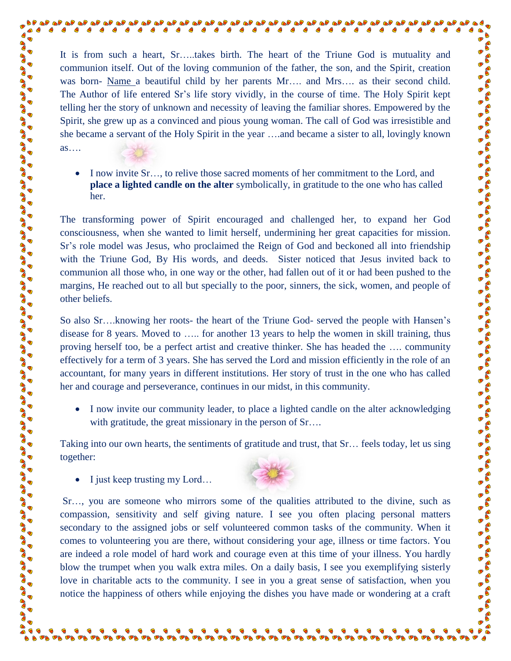It is from such a heart, Sr…..takes birth. The heart of the Triune God is mutuality and communion itself. Out of the loving communion of the father, the son, and the Spirit, creation was born- Name a beautiful child by her parents Mr.... and Mrs.... as their second child. The Author of life entered Sr's life story vividly, in the course of time. The Holy Spirit kept telling her the story of unknown and necessity of leaving the familiar shores. Empowered by the Spirit, she grew up as a convinced and pious young woman. The call of God was irresistible and she became a servant of the Holy Spirit in the year ….and became a sister to all, lovingly known as….

 $\bullet$ 

S

a de la distribución de la distribución de la distribución de la distribución de la distribución de la distribuc

 $\bullet$  $\frac{6}{5}$ 

 $\bullet$  $\bullet$ 

ு நடிக்கு குறிவு குறிவு குறிவு குறிவு குறிவு குறிவு குறிவு குறிவு குறிவு குறிவு குறிவு குறிவு குறிவு குறிவு குற

 I now invite Sr…, to relive those sacred moments of her commitment to the Lord, and **place a lighted candle on the alter** symbolically, in gratitude to the one who has called her.

The transforming power of Spirit encouraged and challenged her, to expand her God consciousness, when she wanted to limit herself, undermining her great capacities for mission. Sr's role model was Jesus, who proclaimed the Reign of God and beckoned all into friendship with the Triune God, By His words, and deeds. Sister noticed that Jesus invited back to communion all those who, in one way or the other, had fallen out of it or had been pushed to the margins, He reached out to all but specially to the poor, sinners, the sick, women, and people of other beliefs.

So also Sr….knowing her roots- the heart of the Triune God- served the people with Hansen's disease for 8 years. Moved to ….. for another 13 years to help the women in skill training, thus proving herself too, be a perfect artist and creative thinker. She has headed the …. community effectively for a term of 3 years. She has served the Lord and mission efficiently in the role of an accountant, for many years in different institutions. Her story of trust in the one who has called her and courage and perseverance, continues in our midst, in this community.

• I now invite our community leader, to place a lighted candle on the alter acknowledging with gratitude, the great missionary in the person of Sr....

Taking into our own hearts, the sentiments of gratitude and trust, that Sr… feels today, let us sing together:

 $\bullet$  I just keep trusting my Lord...

666

 $\blacksquare$ 

 $\bullet$  $\blacksquare$  $\blacksquare$  $\bullet$  $\bullet$ **C**  $\bullet$ 

 $\frac{1}{2}$ 

**BOO** 

**CONO** 

**PAS BOO**  $\frac{1}{2}$ **BO**  $\frac{1}{2}$ **BOO POS BO PAD PASS PAS BOO CONO BAD**  $\frac{1}{2}$ **BOO BAS BOO COND CONO BOO BOO BOO BOO CONO BOO**  $\frac{1}{2}$ **PAD PAS PAS PO**  $\frac{6}{3}$  $\frac{1}{2}$ **BO PAS BO** B



Sr…, you are someone who mirrors some of the qualities attributed to the divine, such as compassion, sensitivity and self giving nature. I see you often placing personal matters secondary to the assigned jobs or self volunteered common tasks of the community. When it comes to volunteering you are there, without considering your age, illness or time factors. You are indeed a role model of hard work and courage even at this time of your illness. You hardly blow the trumpet when you walk extra miles. On a daily basis, I see you exemplifying sisterly love in charitable acts to the community. I see in you a great sense of satisfaction, when you notice the happiness of others while enjoying the dishes you have made or wondering at a craft

 $\bullet \quad \bullet \quad \bullet \quad \bullet \quad \bullet \quad \bullet \quad \bullet \quad \bullet$